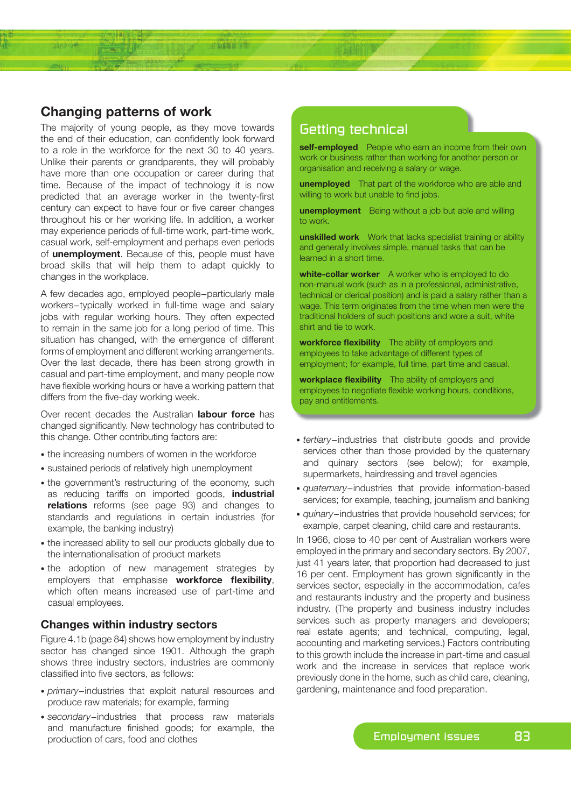# **Changing patterns of work**

The majority of young people, as they move towards the end of their education, can confidently look forward to a role in the workforce for the next 30 to 40 years. Unlike their parents or grandparents, they will probably have more than one occupation or career during that time. Because of the impact of technology it is now predicted that an average worker in the twenty-first century can expect to have four or five career changes throughout his or her working life. In addition, a worker may experience periods of full-time work, part-time work, casual work, self-employment and perhaps even periods of **unemployment**. Because of this, people must have broad skills that will help them to adapt quickly to changes in the workplace.

短音面的结

A few decades ago, employed people−particularly male workers−typically worked in full-time wage and salary jobs with regular working hours. They often expected to remain in the same job for a long period of time. This situation has changed, with the emergence of different forms of employment and different working arrangements. Over the last decade, there has been strong growth in casual and part-time employment, and many people now have flexible working hours or have a working pattern that differs from the five-day working week.

Over recent decades the Australian **labour force** has changed significantly. New technology has contributed to this change. Other contributing factors are:

- the increasing numbers of women in the workforce
- sustained periods of relatively high unemployment
- the government's restructuring of the economy, such as reducing tariffs on imported goods, **industrial relations** reforms (see page 93) and changes to standards and regulations in certain industries (for example, the banking industry)
- the increased ability to sell our products globally due to the internationalisation of product markets
- the adoption of new management strategies by employers that emphasise **workforce flexibility**, which often means increased use of part-time and casual employees.

## **Changes within industry sectors**

Figure 4.1b (page 84) shows how employment by industry sector has changed since 1901. Although the graph shows three industry sectors, industries are commonly classified into five sectors, as follows:

- *primary*−industries that exploit natural resources and produce raw materials; for example, farming
- *secondary*−industries that process raw materials and manufacture finished goods; for example, the production of cars, food and clothes

# Getting technical

**self-employed** People who earn an income from their own work or business rather than working for another person or organisation and receiving a salary or wage.

**unemployed** That part of the workforce who are able and willing to work but unable to find jobs.

**unemployment** Being without a job but able and willing to work.

**unskilled work** Work that lacks specialist training or ability and generally involves simple, manual tasks that can be learned in a short time.

**white-collar worker** A worker who is employed to do non-manual work (such as in a professional, administrative, technical or clerical position) and is paid a salary rather than a wage. This term originates from the time when men were the traditional holders of such positions and wore a suit, white shirt and tie to work.

**workforce flexibility** The ability of employers and employees to take advantage of different types of employment; for example, full time, part time and casual.

**workplace flexibility** The ability of employers and employees to negotiate flexible working hours, conditions, pay and entitlements.

- *tertiary*−industries that distribute goods and provide services other than those provided by the quaternary and quinary sectors (see below); for example, supermarkets, hairdressing and travel agencies
- *quaternary*−industries that provide information-based services; for example, teaching, journalism and banking
- *quinary*−industries that provide household services; for example, carpet cleaning, child care and restaurants.

In 1966, close to 40 per cent of Australian workers were employed in the primary and secondary sectors. By 2007, just 41 years later, that proportion had decreased to just 16 per cent. Employment has grown significantly in the services sector, especially in the accommodation, cafes and restaurants industry and the property and business industry. (The property and business industry includes services such as property managers and developers; real estate agents; and technical, computing, legal, accounting and marketing services.) Factors contributing to this growth include the increase in part-time and casual work and the increase in services that replace work previously done in the home, such as child care, cleaning, gardening, maintenance and food preparation.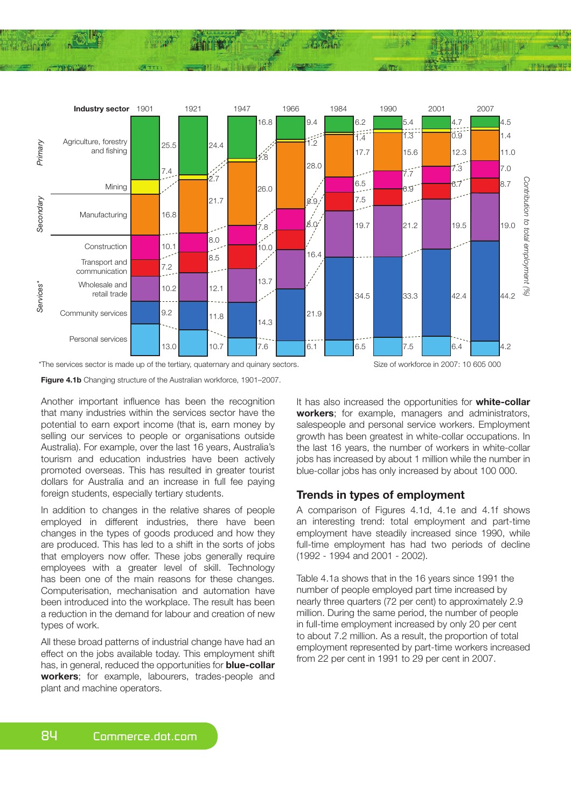

**Figure 4.1b** Changing structure of the Australian workforce, 1901–2007.

Another important influence has been the recognition that many industries within the services sector have the potential to earn export income (that is, earn money by selling our services to people or organisations outside Australia). For example, over the last 16 years, Australia's tourism and education industries have been actively promoted overseas. This has resulted in greater tourist dollars for Australia and an increase in full fee paying foreign students, especially tertiary students.

In addition to changes in the relative shares of people employed in different industries, there have been changes in the types of goods produced and how they are produced. This has led to a shift in the sorts of jobs that employers now offer. These jobs generally require employees with a greater level of skill. Technology has been one of the main reasons for these changes. Computerisation, mechanisation and automation have been introduced into the workplace. The result has been a reduction in the demand for labour and creation of new types of work.

All these broad patterns of industrial change have had an effect on the jobs available today. This employment shift has, in general, reduced the opportunities for **blue-collar workers**; for example, labourers, trades-people and plant and machine operators.

It has also increased the opportunities for **white-collar workers**; for example, managers and administrators, salespeople and personal service workers. Employment growth has been greatest in white-collar occupations. In the last 16 years, the number of workers in white-collar jobs has increased by about 1 million while the number in blue-collar jobs has only increased by about 100 000.

## **Trends in types of employment**

A comparison of Figures 4.1d, 4.1e and 4.1f shows an interesting trend: total employment and part-time employment have steadily increased since 1990, while full-time employment has had two periods of decline (1992 - 1994 and 2001 - 2002).

Table 4.1a shows that in the 16 years since 1991 the number of people employed part time increased by nearly three quarters (72 per cent) to approximately 2.9 million. During the same period, the number of people in full-time employment increased by only 20 per cent to about 7.2 million. As a result, the proportion of total employment represented by part-time workers increased from 22 per cent in 1991 to 29 per cent in 2007.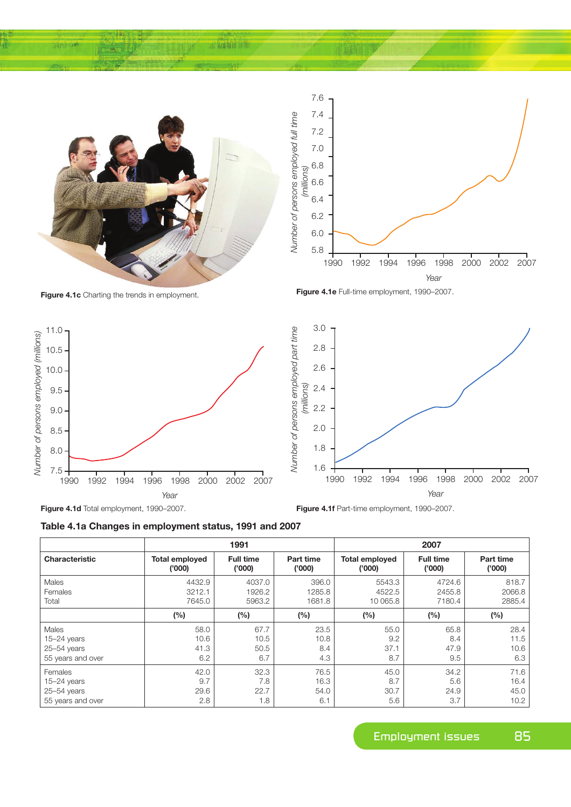

如自由诗

**Figure 4.1d** Total employment, 1990–2007.



**Table 4.1a Changes in employment status, 1991 and 2007**

|                   | 1991                  |                  |                  | 2007                  |                  |                  |
|-------------------|-----------------------|------------------|------------------|-----------------------|------------------|------------------|
| Characteristic    | <b>Total employed</b> | <b>Full time</b> | <b>Part time</b> | <b>Total employed</b> | <b>Full time</b> | <b>Part time</b> |
|                   | (000)'                | (000)'           | (000)'           | (000)'                | (000)'           | (000)'           |
| Males             | 4432.9                | 4037.0           | 396.0            | 5543.3                | 4724.6           | 818.7            |
| Females           | 3212.1                | 1926.2           | 1285.8           | 4522.5                | 2455.8           | 2066.8           |
| Total             | 7645.0                | 5963.2           | 1681.8           | 10 065.8              | 7180.4           | 2885.4           |
|                   | (%)                   | $(\%)$           | (%)              | (%)                   | (%)              | (%)              |
| Males             | 58.0                  | 67.7             | 23.5             | 55.0                  | 65.8             | 28.4             |
| $15 - 24$ years   | 10.6                  | 10.5             | 10.8             | 9.2                   | 8.4              | 11.5             |
| $25 - 54$ years   | 41.3                  | 50.5             | 8.4              | 37.1                  | 47.9             | 10.6             |
| 55 years and over | 6.2                   | 6.7              | 4.3              | 8.7                   | 9.5              | 6.3              |
| Females           | 42.0                  | 32.3             | 76.5             | 45.0                  | 34.2             | 71.6             |
| $15 - 24$ years   | 9.7                   | 7.8              | 16.3             | 8.7                   | 5.6              | 16.4             |
| $25 - 54$ years   | 29.6                  | 22.7             | 54.0             | 30.7                  | 24.9             | 45.0             |
| 55 years and over | 2.8                   | 1.8              | 6.1              | 5.6                   | 3.7              | 10.2             |